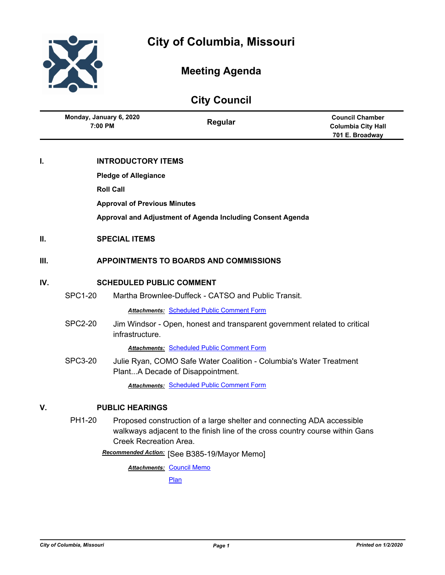

# **Meeting Agenda**

| <b>City Council</b> |                                               |                           |                                                                                                        |                                                                        |  |
|---------------------|-----------------------------------------------|---------------------------|--------------------------------------------------------------------------------------------------------|------------------------------------------------------------------------|--|
|                     | Monday, January 6, 2020<br>7:00 PM            |                           | Regular                                                                                                | <b>Council Chamber</b><br><b>Columbia City Hall</b><br>701 E. Broadway |  |
| I.                  |                                               | <b>INTRODUCTORY ITEMS</b> |                                                                                                        |                                                                        |  |
|                     | <b>Pledge of Allegiance</b>                   |                           |                                                                                                        |                                                                        |  |
|                     |                                               | <b>Roll Call</b>          |                                                                                                        |                                                                        |  |
|                     | <b>Approval of Previous Minutes</b>           |                           |                                                                                                        |                                                                        |  |
|                     |                                               |                           | Approval and Adjustment of Agenda Including Consent Agenda                                             |                                                                        |  |
| П.                  |                                               | <b>SPECIAL ITEMS</b>      |                                                                                                        |                                                                        |  |
| III.                | <b>APPOINTMENTS TO BOARDS AND COMMISSIONS</b> |                           |                                                                                                        |                                                                        |  |
| IV.                 | <b>SCHEDULED PUBLIC COMMENT</b>               |                           |                                                                                                        |                                                                        |  |
|                     | <b>SPC1-20</b>                                |                           | Martha Brownlee-Duffeck - CATSO and Public Transit.                                                    |                                                                        |  |
|                     |                                               |                           | <b>Attachments: Scheduled Public Comment Form</b>                                                      |                                                                        |  |
|                     | <b>SPC2-20</b>                                | infrastructure.           | Jim Windsor - Open, honest and transparent government related to critical                              |                                                                        |  |
|                     |                                               |                           | <b>Attachments: Scheduled Public Comment Form</b>                                                      |                                                                        |  |
|                     | <b>SPC3-20</b>                                |                           | Julie Ryan, COMO Safe Water Coalition - Columbia's Water Treatment<br>PlantA Decade of Disappointment. |                                                                        |  |
|                     |                                               |                           | <b>Attachments: Scheduled Public Comment Form</b>                                                      |                                                                        |  |
| V.                  | <b>PUBLIC HEARINGS</b>                        |                           |                                                                                                        |                                                                        |  |
|                     | PH1-20                                        |                           | Proposed construction of a large shelter and connecting ADA accessible                                 |                                                                        |  |

walkways adjacent to the finish line of the cross country course within Gans Creek Recreation Area.

[See B385-19/Mayor Memo] *Recommended Action:*

**Attachments: [Council Memo](http://gocolumbiamo.legistar.com/gateway.aspx?M=F&ID=329c611d-c64f-435e-99ad-024f8997babe.docx)** [Plan](http://gocolumbiamo.legistar.com/gateway.aspx?M=F&ID=452307bf-c21a-49b0-80dd-cede507c25a4.jpg)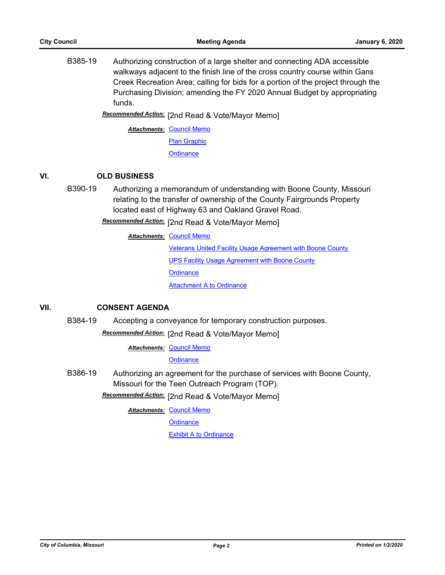B385-19 Authorizing construction of a large shelter and connecting ADA accessible walkways adjacent to the finish line of the cross country course within Gans Creek Recreation Area; calling for bids for a portion of the project through the Purchasing Division; amending the FY 2020 Annual Budget by appropriating funds.

[2nd Read & Vote/Mayor Memo] *Recommended Action:*

**Attachments: [Council Memo](http://gocolumbiamo.legistar.com/gateway.aspx?M=F&ID=d2b5541b-b04a-44ff-8de4-56c7a1c51753.docx)** [Plan Graphic](http://gocolumbiamo.legistar.com/gateway.aspx?M=F&ID=ae0b7464-329d-4fae-812c-271a15cb247b.pdf) **[Ordinance](http://gocolumbiamo.legistar.com/gateway.aspx?M=F&ID=9e18e678-846b-45ba-967f-c8b43762ced5.doc)** 

# **VI. OLD BUSINESS**

B390-19 Authorizing a memorandum of understanding with Boone County, Missouri relating to the transfer of ownership of the County Fairgrounds Property located east of Highway 63 and Oakland Gravel Road.

[2nd Read & Vote/Mayor Memo] *Recommended Action:*

**Attachments: [Council Memo](http://gocolumbiamo.legistar.com/gateway.aspx?M=F&ID=c197261c-267e-4552-a45a-747689d6da14.docx)** 

[Veterans United Facility Usage Agreement with Boone County](http://gocolumbiamo.legistar.com/gateway.aspx?M=F&ID=7f4c5b0c-da4a-4feb-9cca-bc660bd45e54.pdf) [UPS Facility Usage Agreement with Boone County](http://gocolumbiamo.legistar.com/gateway.aspx?M=F&ID=815bea69-e81f-4b91-a149-4f481fde07b2.pdf) **[Ordinance](http://gocolumbiamo.legistar.com/gateway.aspx?M=F&ID=3dcea0e7-37b6-477f-b613-1ef83697ab5c.doc)** [Attachment A to Ordinance](http://gocolumbiamo.legistar.com/gateway.aspx?M=F&ID=11c7a575-1c72-407d-a0b6-9adea776dc63.pdf)

# **VII. CONSENT AGENDA**

B384-19 Accepting a conveyance for temporary construction purposes.

Recommended Action: [2nd Read & Vote/Mayor Memo]

**Attachments: [Council Memo](http://gocolumbiamo.legistar.com/gateway.aspx?M=F&ID=34374bd5-24ac-47ed-b825-36b7b50c6737.docx)** 

**[Ordinance](http://gocolumbiamo.legistar.com/gateway.aspx?M=F&ID=f9309e7c-f651-421a-96e5-b0039873b693.doc)** 

B386-19 Authorizing an agreement for the purchase of services with Boone County, Missouri for the Teen Outreach Program (TOP).

Recommended Action: [2nd Read & Vote/Mayor Memo]

**Attachments: [Council Memo](http://gocolumbiamo.legistar.com/gateway.aspx?M=F&ID=c5ff3289-d260-4382-aec6-e68473179623.docx)** 

**[Ordinance](http://gocolumbiamo.legistar.com/gateway.aspx?M=F&ID=883a425e-738c-4800-bda9-7a3ffd9def8a.doc)** 

**[Exhibit A to Ordinance](http://gocolumbiamo.legistar.com/gateway.aspx?M=F&ID=a9b42033-18f2-40e1-8eea-b9bd9bc932ab.pdf)**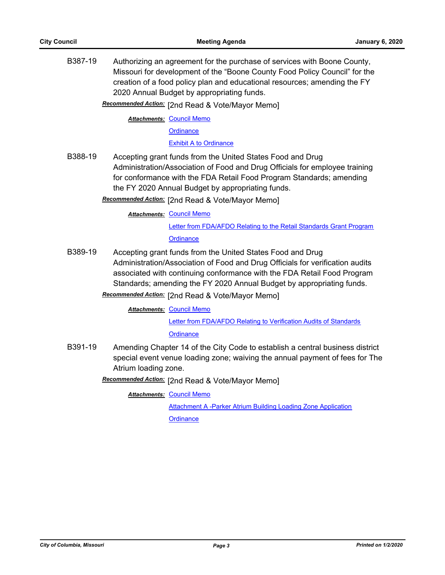B387-19 Authorizing an agreement for the purchase of services with Boone County, Missouri for development of the "Boone County Food Policy Council" for the creation of a food policy plan and educational resources; amending the FY 2020 Annual Budget by appropriating funds.

Recommended Action: [2nd Read & Vote/Mayor Memo]

**Attachments: [Council Memo](http://gocolumbiamo.legistar.com/gateway.aspx?M=F&ID=dbbc17bd-9045-4949-91ac-6cc19f1432fc.docx)** 

**[Ordinance](http://gocolumbiamo.legistar.com/gateway.aspx?M=F&ID=a90f6d70-dc3e-4af0-ac3c-178a09c63ad6.doc)** 

[Exhibit A to Ordinance](http://gocolumbiamo.legistar.com/gateway.aspx?M=F&ID=f7dbf455-e5ba-4e00-bb8b-b4a8ef12c229.pdf)

B388-19 Accepting grant funds from the United States Food and Drug Administration/Association of Food and Drug Officials for employee training for conformance with the FDA Retail Food Program Standards; amending the FY 2020 Annual Budget by appropriating funds.

Recommended Action: [2nd Read & Vote/Mayor Memo]

**Attachments: [Council Memo](http://gocolumbiamo.legistar.com/gateway.aspx?M=F&ID=fe5cfa1b-aac7-4880-b02c-4a2c8d1a9b4f.docx)** 

[Letter from FDA/AFDO Relating to the Retail Standards Grant Program](http://gocolumbiamo.legistar.com/gateway.aspx?M=F&ID=885f12ee-25dc-4fdf-91df-93708ce6347f.pdf) **[Ordinance](http://gocolumbiamo.legistar.com/gateway.aspx?M=F&ID=fd009632-1c77-4781-98ee-ad3d2a29a7d8.doc)** 

- B389-19 Accepting grant funds from the United States Food and Drug Administration/Association of Food and Drug Officials for verification audits associated with continuing conformance with the FDA Retail Food Program Standards; amending the FY 2020 Annual Budget by appropriating funds.
	- Recommended Action: [2nd Read & Vote/Mayor Memo]

**Attachments: [Council Memo](http://gocolumbiamo.legistar.com/gateway.aspx?M=F&ID=2187c7be-4746-4a6d-ba36-6a114c41231b.docx)** 

[Letter from FDA/AFDO Relating to Verification Audits of Standards](http://gocolumbiamo.legistar.com/gateway.aspx?M=F&ID=0aec0872-0190-49b7-b502-0e8d0c87c2e5.pdf)

**[Ordinance](http://gocolumbiamo.legistar.com/gateway.aspx?M=F&ID=d1087955-c9fa-47ad-8c4c-12c0b2144335.doc)** 

B391-19 Amending Chapter 14 of the City Code to establish a central business district special event venue loading zone; waiving the annual payment of fees for The Atrium loading zone.

**Recommended Action:** [2nd Read & Vote/Mayor Memo]

**Attachments: [Council Memo](http://gocolumbiamo.legistar.com/gateway.aspx?M=F&ID=bf4bcad3-84f0-4b53-a6d2-a9f77e8a8b67.docx)** 

[Attachment A -Parker Atrium Building Loading Zone Application](http://gocolumbiamo.legistar.com/gateway.aspx?M=F&ID=10a3286d-c3d3-40ca-a785-30d4b6a23d97.pdf) **[Ordinance](http://gocolumbiamo.legistar.com/gateway.aspx?M=F&ID=9c624ae0-7510-44e8-8881-76f8944828d6.doc)**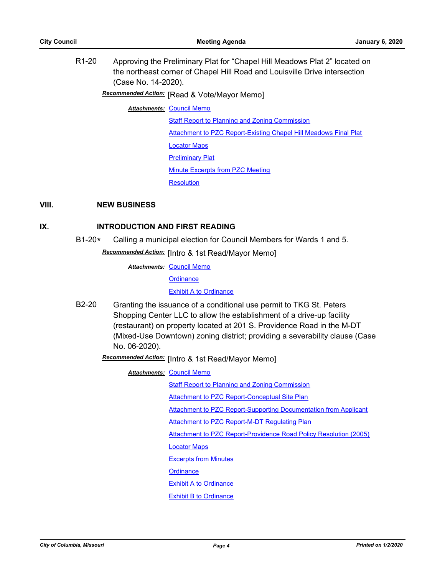R1-20 Approving the Preliminary Plat for "Chapel Hill Meadows Plat 2" located on the northeast corner of Chapel Hill Road and Louisville Drive intersection (Case No. 14-2020).

# **Recommended Action:** [Read & Vote/Mayor Memo]

**Attachments: [Council Memo](http://gocolumbiamo.legistar.com/gateway.aspx?M=F&ID=b160a6c6-0ca2-4fd0-9a97-bcdce3d14cd2.docx)** 

[Staff Report to Planning and Zoning Commission](http://gocolumbiamo.legistar.com/gateway.aspx?M=F&ID=f5862d1a-e8b0-4539-8519-99cc8f3aa3c4.docx) [Attachment to PZC Report-Existing Chapel Hill Meadows Final Plat](http://gocolumbiamo.legistar.com/gateway.aspx?M=F&ID=36cf90f3-0700-429f-94c8-e37c16c6d07f.pdf) [Locator Maps](http://gocolumbiamo.legistar.com/gateway.aspx?M=F&ID=ced6d9cd-8e95-4fab-99a5-10f757da1f88.pdf) [Preliminary Plat](http://gocolumbiamo.legistar.com/gateway.aspx?M=F&ID=b0e527cc-c86a-49bf-8241-9a4caa52b4b7.pdf) [Minute Excerpts from PZC Meeting](http://gocolumbiamo.legistar.com/gateway.aspx?M=F&ID=6bbe866a-3206-4b30-9e55-4220a1ba4ba3.docx) **[Resolution](http://gocolumbiamo.legistar.com/gateway.aspx?M=F&ID=c81abcf8-06e1-448b-84a9-69e9075762e9.doc)** 

### **VIII. NEW BUSINESS**

#### **IX. INTRODUCTION AND FIRST READING**

B1-20**\*** Calling a municipal election for Council Members for Wards 1 and 5. **Recommended Action:** [Intro & 1st Read/Mayor Memo]

**Attachments: [Council Memo](http://gocolumbiamo.legistar.com/gateway.aspx?M=F&ID=be055849-95bf-4d43-9d64-b12c603b864a.docx)** 

**[Ordinance](http://gocolumbiamo.legistar.com/gateway.aspx?M=F&ID=23bf7c3a-dbea-4eb3-966f-3829f563ad7b.doc)** 

**[Exhibit A to Ordinance](http://gocolumbiamo.legistar.com/gateway.aspx?M=F&ID=f6e77e91-2c8a-410e-bbe0-8147528f6c28.doc)** 

B2-20 Granting the issuance of a conditional use permit to TKG St. Peters Shopping Center LLC to allow the establishment of a drive-up facility (restaurant) on property located at 201 S. Providence Road in the M-DT (Mixed-Use Downtown) zoning district; providing a severability clause (Case No. 06-2020).

[Intro & 1st Read/Mayor Memo] *Recommended Action:*

**Attachments: [Council Memo](http://gocolumbiamo.legistar.com/gateway.aspx?M=F&ID=85340038-4d56-4945-8bc6-0681469fe49f.docx)** 

[Staff Report to Planning and Zoning Commission](http://gocolumbiamo.legistar.com/gateway.aspx?M=F&ID=6e4e2523-7449-471a-bd65-4eaa65c09e6c.docx)

[Attachment to PZC Report-Conceptual Site Plan](http://gocolumbiamo.legistar.com/gateway.aspx?M=F&ID=3566dda9-780e-469f-aa51-7f817bb682e6.pdf)

[Attachment to PZC Report-Supporting Documentation from Applicant](http://gocolumbiamo.legistar.com/gateway.aspx?M=F&ID=0f7729cd-0ae6-4c9c-9d0d-881f16751e89.docx)

[Attachment to PZC Report-M-DT Regulating Plan](http://gocolumbiamo.legistar.com/gateway.aspx?M=F&ID=414ed5dd-b7c6-472c-a873-58b9bfc4e7b2.pdf)

[Attachment to PZC Report-Providence Road Policy Resolution \(2005\)](http://gocolumbiamo.legistar.com/gateway.aspx?M=F&ID=13687f03-ba81-4b50-aa0e-465d9f2bea06.pdf)

[Locator Maps](http://gocolumbiamo.legistar.com/gateway.aspx?M=F&ID=15964011-2c60-4cf9-b1f0-9a17bd9c523d.pdf)

[Excerpts from Minutes](http://gocolumbiamo.legistar.com/gateway.aspx?M=F&ID=b3bb1f77-8d95-4a33-b2cf-fab6ac175c9a.docx)

**[Ordinance](http://gocolumbiamo.legistar.com/gateway.aspx?M=F&ID=88536a4f-d703-4c6d-bb84-3b0dfb171587.doc)** 

[Exhibit A to Ordinance](http://gocolumbiamo.legistar.com/gateway.aspx?M=F&ID=cf64837a-381c-455c-8d75-bd72a884eac8.docx)

[Exhibit B to Ordinance](http://gocolumbiamo.legistar.com/gateway.aspx?M=F&ID=844fe83d-3829-4331-b510-a60f4e9cd98f.pdf)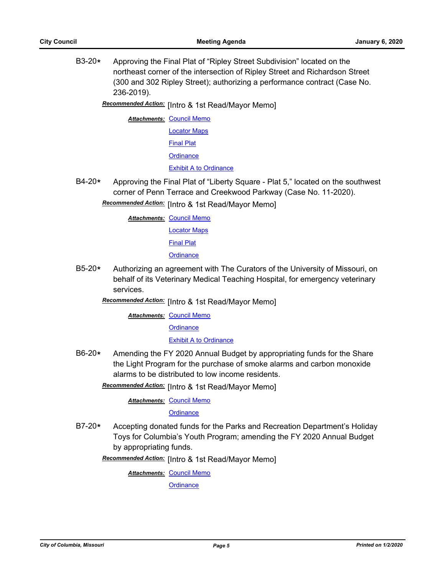B3-20**\*** Approving the Final Plat of "Ripley Street Subdivision" located on the northeast corner of the intersection of Ripley Street and Richardson Street (300 and 302 Ripley Street); authorizing a performance contract (Case No. 236-2019).

Recommended Action: [Intro & 1st Read/Mayor Memo]

**Attachments: [Council Memo](http://gocolumbiamo.legistar.com/gateway.aspx?M=F&ID=b1d4dc9a-4b2d-417b-a0ff-6d8d29ef35ae.docx)** [Locator Maps](http://gocolumbiamo.legistar.com/gateway.aspx?M=F&ID=6f57cca3-f954-4959-9064-48ef3fb95c04.pdf) [Final Plat](http://gocolumbiamo.legistar.com/gateway.aspx?M=F&ID=c25a2726-6d04-4dea-9bb6-dc6f69f97381.pdf) **[Ordinance](http://gocolumbiamo.legistar.com/gateway.aspx?M=F&ID=a84c1918-7eb8-4e3c-bb5e-6b814dd7e7fd.doc)** [Exhibit A to Ordinance](http://gocolumbiamo.legistar.com/gateway.aspx?M=F&ID=72b9f60f-04d7-4806-bb54-a3fac5ed6b06.pdf)

B4-20**\*** Approving the Final Plat of "Liberty Square - Plat 5," located on the southwest corner of Penn Terrace and Creekwood Parkway (Case No. 11-2020).

Recommended Action: [Intro & 1st Read/Mayor Memo]

**Attachments: [Council Memo](http://gocolumbiamo.legistar.com/gateway.aspx?M=F&ID=9fcfdcde-b146-4f6c-a7d1-1833359fbed0.docx)** 

[Locator Maps](http://gocolumbiamo.legistar.com/gateway.aspx?M=F&ID=04a1876b-dbea-4ec9-8e98-fc54af407f61.pdf)

[Final Plat](http://gocolumbiamo.legistar.com/gateway.aspx?M=F&ID=33bed345-9b3e-4abc-81f1-9a5c93f6d9f7.pdf)

**[Ordinance](http://gocolumbiamo.legistar.com/gateway.aspx?M=F&ID=81c8a9c3-ba53-44fa-8ff4-0357be56a5e7.doc)** 

B5-20**\*** Authorizing an agreement with The Curators of the University of Missouri, on behalf of its Veterinary Medical Teaching Hospital, for emergency veterinary services.

**Recommended Action:** [Intro & 1st Read/Mayor Memo]

**Attachments: [Council Memo](http://gocolumbiamo.legistar.com/gateway.aspx?M=F&ID=88232c57-6eb6-483a-9cb9-7d2e8c547c32.docx)** 

**[Ordinance](http://gocolumbiamo.legistar.com/gateway.aspx?M=F&ID=cd4a55d7-f317-4dff-b919-d24f93b28946.doc)** 

[Exhibit A to Ordinance](http://gocolumbiamo.legistar.com/gateway.aspx?M=F&ID=323bac9f-8176-40a4-a28b-8dad8a97d984.pdf)

B6-20**\*** Amending the FY 2020 Annual Budget by appropriating funds for the Share the Light Program for the purchase of smoke alarms and carbon monoxide alarms to be distributed to low income residents.

Recommended Action: [Intro & 1st Read/Mayor Memo]

**Attachments: [Council Memo](http://gocolumbiamo.legistar.com/gateway.aspx?M=F&ID=c2326f03-1d2a-4449-9a8f-16db213880f5.docx)** 

**[Ordinance](http://gocolumbiamo.legistar.com/gateway.aspx?M=F&ID=14c198b8-defb-4732-9387-9a0eab957d93.doc)** 

B7-20**\*** Accepting donated funds for the Parks and Recreation Department's Holiday Toys for Columbia's Youth Program; amending the FY 2020 Annual Budget by appropriating funds.

Recommended Action: [Intro & 1st Read/Mayor Memo]

**Attachments: [Council Memo](http://gocolumbiamo.legistar.com/gateway.aspx?M=F&ID=1c900aff-8304-4ed6-a74d-4161e40e7111.docx)** 

**[Ordinance](http://gocolumbiamo.legistar.com/gateway.aspx?M=F&ID=5f9274d1-7914-4671-84c4-668944ce537c.doc)**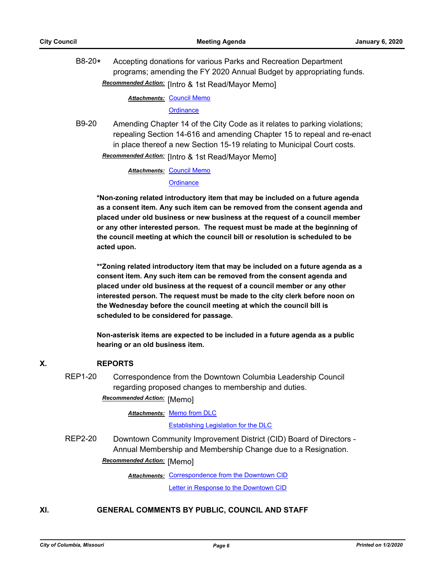B8-20**\*** Accepting donations for various Parks and Recreation Department programs; amending the FY 2020 Annual Budget by appropriating funds. Recommended Action: [Intro & 1st Read/Mayor Memo]

**Attachments: [Council Memo](http://gocolumbiamo.legistar.com/gateway.aspx?M=F&ID=e91d74bc-8715-41eb-83b6-ad81f0ee64f9.docx)** 

#### **[Ordinance](http://gocolumbiamo.legistar.com/gateway.aspx?M=F&ID=9da8b8e9-2136-40ca-95fb-6ca14d207d43.doc)**

B9-20 Amending Chapter 14 of the City Code as it relates to parking violations; repealing Section 14-616 and amending Chapter 15 to repeal and re-enact in place thereof a new Section 15-19 relating to Municipal Court costs.

**Recommended Action: [Intro & 1st Read/Mayor Memo]** 

**Attachments: [Council Memo](http://gocolumbiamo.legistar.com/gateway.aspx?M=F&ID=2b9ea727-ac7d-4d3f-9296-a87af02da379.docx)** 

#### **[Ordinance](http://gocolumbiamo.legistar.com/gateway.aspx?M=F&ID=ece48f9a-b39d-4d57-bd21-872750acac5f.doc)**

**\*Non-zoning related introductory item that may be included on a future agenda as a consent item. Any such item can be removed from the consent agenda and placed under old business or new business at the request of a council member or any other interested person. The request must be made at the beginning of the council meeting at which the council bill or resolution is scheduled to be acted upon.** 

**\*\*Zoning related introductory item that may be included on a future agenda as a consent item. Any such item can be removed from the consent agenda and placed under old business at the request of a council member or any other interested person. The request must be made to the city clerk before noon on the Wednesday before the council meeting at which the council bill is scheduled to be considered for passage.**

**Non-asterisk items are expected to be included in a future agenda as a public hearing or an old business item.**

# **X. REPORTS**

REP1-20 Correspondence from the Downtown Columbia Leadership Council regarding proposed changes to membership and duties.

**Recommended Action:** [Memo]

Attachments: [Memo from DLC](http://gocolumbiamo.legistar.com/gateway.aspx?M=F&ID=b8edd67a-2a7d-4ebe-827a-e0467f7275f8.pdf)

#### [Establishing Legislation for the DLC](http://gocolumbiamo.legistar.com/gateway.aspx?M=F&ID=a52b8b0b-d65a-4d8b-bf26-f87495a9a2b3.pdf)

REP2-20 Downtown Community Improvement District (CID) Board of Directors - Annual Membership and Membership Change due to a Resignation. **Recommended Action: [Memo]** 

> Attachments: [Correspondence from the Downtown CID](http://gocolumbiamo.legistar.com/gateway.aspx?M=F&ID=1d95cabb-7414-4eae-a6ab-8e74a88cb7fe.pdf) [Letter in Response to the Downtown CID](http://gocolumbiamo.legistar.com/gateway.aspx?M=F&ID=cb14a9f9-d22e-483e-886f-7a05c8e20515.pdf)

## **XI. GENERAL COMMENTS BY PUBLIC, COUNCIL AND STAFF**